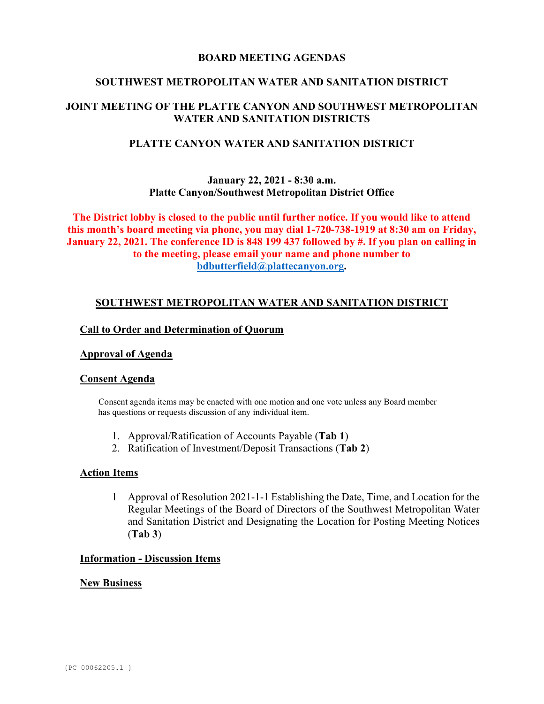## **BOARD MEETING AGENDAS**

## **SOUTHWEST METROPOLITAN WATER AND SANITATION DISTRICT**

## **JOINT MEETING OF THE PLATTE CANYON AND SOUTHWEST METROPOLITAN WATER AND SANITATION DISTRICTS**

## **PLATTE CANYON WATER AND SANITATION DISTRICT**

## **January 22, 2021 - 8:30 a.m. Platte Canyon/Southwest Metropolitan District Office**

**The District lobby is closed to the public until further notice. If you would like to attend this month's board meeting via phone, you may dial 1-720-738-1919 at 8:30 am on Friday, January 22, 2021. The conference ID is 848 199 437 followed by #. If you plan on calling in to the meeting, please email your name and phone number to [bdbutterfield@plattecanyon.org.](mailto:bdbutterfield@plattecanyon.org)**

## **SOUTHWEST METROPOLITAN WATER AND SANITATION DISTRICT**

### **Call to Order and Determination of Quorum**

### **Approval of Agenda**

### **Consent Agenda**

 Consent agenda items may be enacted with one motion and one vote unless any Board member has questions or requests discussion of any individual item.

- 1. Approval/Ratification of Accounts Payable (**Tab 1**)
- 2. Ratification of Investment/Deposit Transactions (**Tab 2**)

#### **Action Items**

1 Approval of Resolution 2021-1-1 Establishing the Date, Time, and Location for the Regular Meetings of the Board of Directors of the Southwest Metropolitan Water and Sanitation District and Designating the Location for Posting Meeting Notices (**Tab 3**)

#### **Information - Discussion Items**

#### **New Business**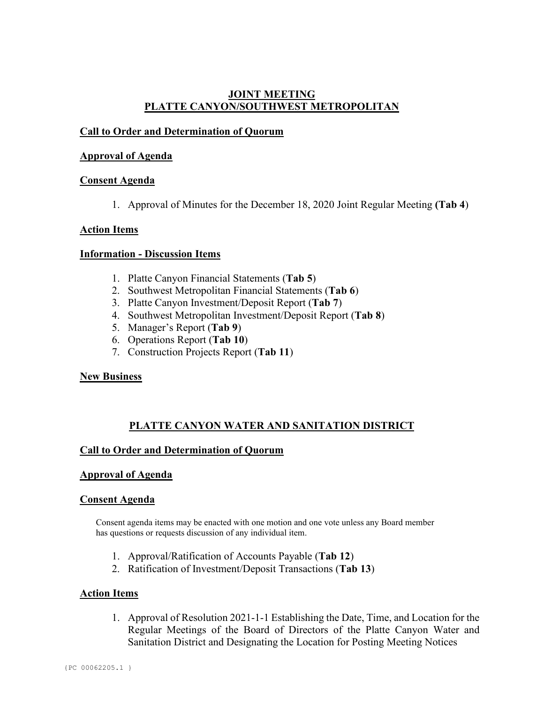## **JOINT MEETING PLATTE CANYON/SOUTHWEST METROPOLITAN**

## **Call to Order and Determination of Quorum**

## **Approval of Agenda**

## **Consent Agenda**

1. Approval of Minutes for the December 18, 2020 Joint Regular Meeting **(Tab 4**)

## **Action Items**

## **Information - Discussion Items**

- 1. Platte Canyon Financial Statements (**Tab 5**)
- 2. Southwest Metropolitan Financial Statements (**Tab 6**)
- 3. Platte Canyon Investment/Deposit Report (**Tab 7**)
- 4. Southwest Metropolitan Investment/Deposit Report (**Tab 8**)
- 5. Manager's Report (**Tab 9**)
- 6. Operations Report (**Tab 10**)
- 7. Construction Projects Report (**Tab 11**)

### **New Business**

## **PLATTE CANYON WATER AND SANITATION DISTRICT**

## **Call to Order and Determination of Quorum**

### **Approval of Agenda**

### **Consent Agenda**

Consent agenda items may be enacted with one motion and one vote unless any Board member has questions or requests discussion of any individual item.

- 1. Approval/Ratification of Accounts Payable (**Tab 12**)
- 2. Ratification of Investment/Deposit Transactions (**Tab 13**)

### **Action Items**

1. Approval of Resolution 2021-1-1 Establishing the Date, Time, and Location for the Regular Meetings of the Board of Directors of the Platte Canyon Water and Sanitation District and Designating the Location for Posting Meeting Notices